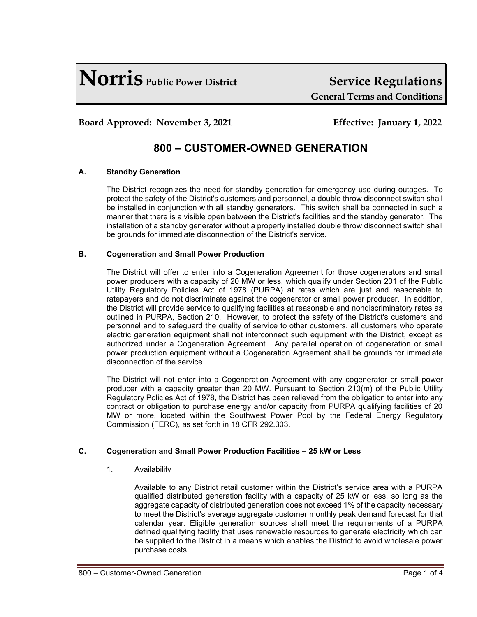# **Norris Public Power District Service Regulations**

# **General Terms and Conditions**

### **Board Approved: November 3, 2021 Effective: January 1, 2022**

## **800 – CUSTOMER-OWNED GENERATION**

#### **A. Standby Generation**

The District recognizes the need for standby generation for emergency use during outages. To protect the safety of the District's customers and personnel, a double throw disconnect switch shall be installed in conjunction with all standby generators. This switch shall be connected in such a manner that there is a visible open between the District's facilities and the standby generator. The installation of a standby generator without a properly installed double throw disconnect switch shall be grounds for immediate disconnection of the District's service.

#### **B. Cogeneration and Small Power Production**

The District will offer to enter into a Cogeneration Agreement for those cogenerators and small power producers with a capacity of 20 MW or less, which qualify under Section 201 of the Public Utility Regulatory Policies Act of 1978 (PURPA) at rates which are just and reasonable to ratepayers and do not discriminate against the cogenerator or small power producer. In addition, the District will provide service to qualifying facilities at reasonable and nondiscriminatory rates as outlined in PURPA, Section 210. However, to protect the safety of the District's customers and personnel and to safeguard the quality of service to other customers, all customers who operate electric generation equipment shall not interconnect such equipment with the District, except as authorized under a Cogeneration Agreement. Any parallel operation of cogeneration or small power production equipment without a Cogeneration Agreement shall be grounds for immediate disconnection of the service.

The District will not enter into a Cogeneration Agreement with any cogenerator or small power producer with a capacity greater than 20 MW. Pursuant to Section 210(m) of the Public Utility Regulatory Policies Act of 1978, the District has been relieved from the obligation to enter into any contract or obligation to purchase energy and/or capacity from PURPA qualifying facilities of 20 MW or more, located within the Southwest Power Pool by the Federal Energy Regulatory Commission (FERC), as set forth in 18 CFR 292.303.

#### **C. Cogeneration and Small Power Production Facilities – 25 kW or Less**

#### 1. Availability

Available to any District retail customer within the District's service area with a PURPA qualified distributed generation facility with a capacity of 25 kW or less, so long as the aggregate capacity of distributed generation does not exceed 1% of the capacity necessary to meet the District's average aggregate customer monthly peak demand forecast for that calendar year. Eligible generation sources shall meet the requirements of a PURPA defined qualifying facility that uses renewable resources to generate electricity which can be supplied to the District in a means which enables the District to avoid wholesale power purchase costs.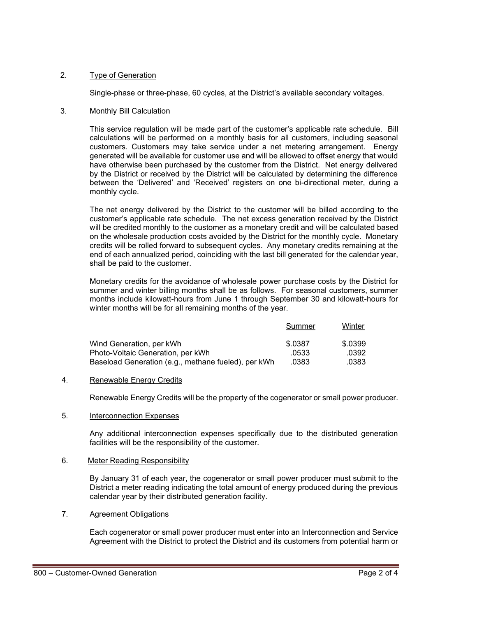#### 2. Type of Generation

Single-phase or three-phase, 60 cycles, at the District's available secondary voltages.

#### 3. Monthly Bill Calculation

This service regulation will be made part of the customer's applicable rate schedule. Bill calculations will be performed on a monthly basis for all customers, including seasonal customers. Customers may take service under a net metering arrangement. Energy generated will be available for customer use and will be allowed to offset energy that would have otherwise been purchased by the customer from the District. Net energy delivered by the District or received by the District will be calculated by determining the difference between the 'Delivered' and 'Received' registers on one bi-directional meter, during a monthly cycle.

The net energy delivered by the District to the customer will be billed according to the customer's applicable rate schedule. The net excess generation received by the District will be credited monthly to the customer as a monetary credit and will be calculated based on the wholesale production costs avoided by the District for the monthly cycle. Monetary credits will be rolled forward to subsequent cycles. Any monetary credits remaining at the end of each annualized period, coinciding with the last bill generated for the calendar year, shall be paid to the customer.

Monetary credits for the avoidance of wholesale power purchase costs by the District for summer and winter billing months shall be as follows. For seasonal customers, summer months include kilowatt-hours from June 1 through September 30 and kilowatt-hours for winter months will be for all remaining months of the year.

|                                                     | Summer  | Winter  |
|-----------------------------------------------------|---------|---------|
| Wind Generation, per kWh                            | \$.0387 | \$.0399 |
| Photo-Voltaic Generation, per kWh                   | .0533   | .0392   |
| Baseload Generation (e.g., methane fueled), per kWh | .0383   | .0383   |

#### 4. Renewable Energy Credits

Renewable Energy Credits will be the property of the cogenerator or small power producer.

#### 5. Interconnection Expenses

Any additional interconnection expenses specifically due to the distributed generation facilities will be the responsibility of the customer.

#### 6.Meter Reading Responsibility

By January 31 of each year, the cogenerator or small power producer must submit to the District a meter reading indicating the total amount of energy produced during the previous calendar year by their distributed generation facility.

#### 7. Agreement Obligations

Each cogenerator or small power producer must enter into an Interconnection and Service Agreement with the District to protect the District and its customers from potential harm or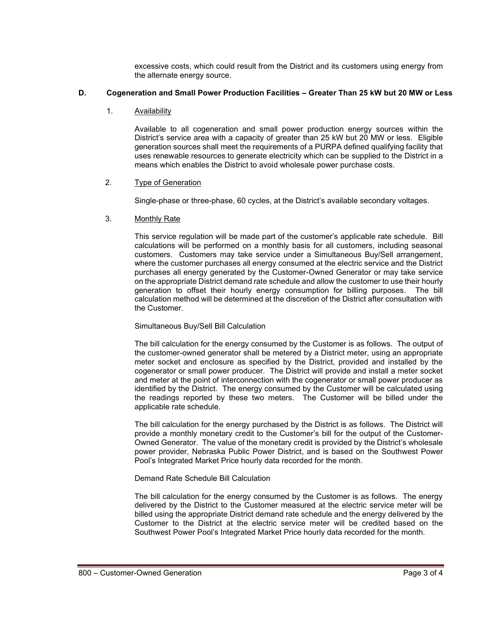excessive costs, which could result from the District and its customers using energy from the alternate energy source.

#### **D. Cogeneration and Small Power Production Facilities – Greater Than 25 kW but 20 MW or Less**

1. Availability

Available to all cogeneration and small power production energy sources within the District's service area with a capacity of greater than 25 kW but 20 MW or less. Eligible generation sources shall meet the requirements of a PURPA defined qualifying facility that uses renewable resources to generate electricity which can be supplied to the District in a means which enables the District to avoid wholesale power purchase costs.

#### 2. Type of Generation

Single-phase or three-phase, 60 cycles, at the District's available secondary voltages.

3. Monthly Rate

This service regulation will be made part of the customer's applicable rate schedule. Bill calculations will be performed on a monthly basis for all customers, including seasonal customers. Customers may take service under a Simultaneous Buy/Sell arrangement, where the customer purchases all energy consumed at the electric service and the District purchases all energy generated by the Customer-Owned Generator or may take service on the appropriate District demand rate schedule and allow the customer to use their hourly generation to offset their hourly energy consumption for billing purposes. The bill calculation method will be determined at the discretion of the District after consultation with the Customer.

#### Simultaneous Buy/Sell Bill Calculation

The bill calculation for the energy consumed by the Customer is as follows. The output of the customer-owned generator shall be metered by a District meter, using an appropriate meter socket and enclosure as specified by the District, provided and installed by the cogenerator or small power producer. The District will provide and install a meter socket and meter at the point of interconnection with the cogenerator or small power producer as identified by the District. The energy consumed by the Customer will be calculated using the readings reported by these two meters. The Customer will be billed under the applicable rate schedule.

The bill calculation for the energy purchased by the District is as follows. The District will provide a monthly monetary credit to the Customer's bill for the output of the Customer-Owned Generator. The value of the monetary credit is provided by the District's wholesale power provider, Nebraska Public Power District, and is based on the Southwest Power Pool's Integrated Market Price hourly data recorded for the month.

#### Demand Rate Schedule Bill Calculation

The bill calculation for the energy consumed by the Customer is as follows. The energy delivered by the District to the Customer measured at the electric service meter will be billed using the appropriate District demand rate schedule and the energy delivered by the Customer to the District at the electric service meter will be credited based on the Southwest Power Pool's Integrated Market Price hourly data recorded for the month.